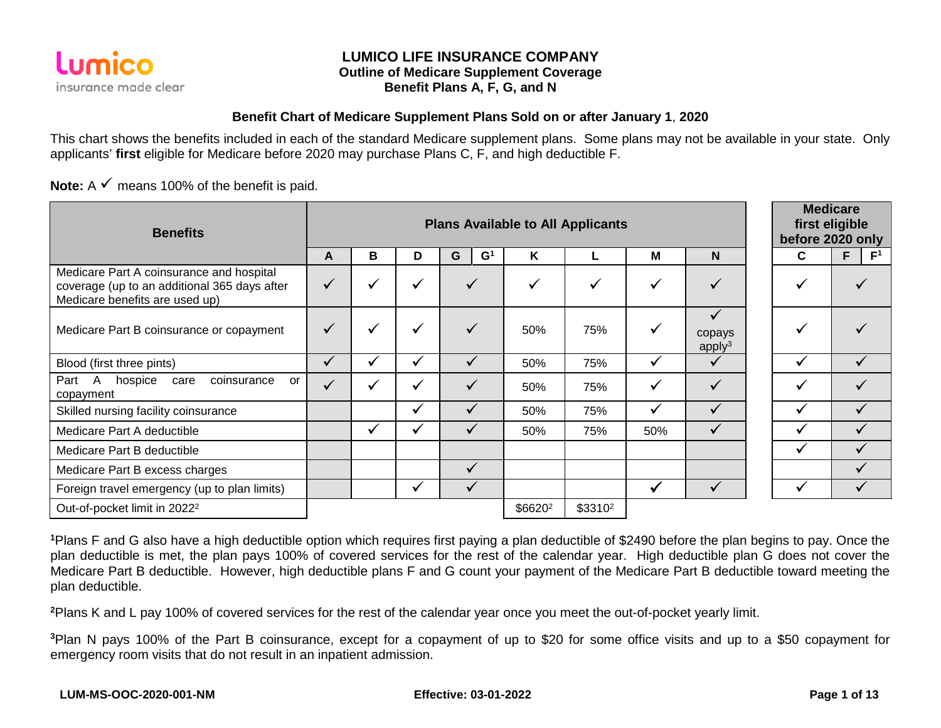

### **LUMICO LIFE INSURANCE COMPANY Outline of Medicare Supplement Coverage Benefit Plans A, F, G, and N**

#### **Benefit Chart of Medicare Supplement Plans Sold on or after January 1**, **2020**

This chart shows the benefits included in each of the standard Medicare supplement plans. Some plans may not be available in your state. Only applicants' **first** eligible for Medicare before 2020 may purchase Plans C, F, and high deductible F.

**Note:**  $A \times \text{means } 100\%$  of the benefit is paid.

| <b>Benefits</b>                                                                                                            |              | <b>Plans Available to All Applicants</b> |              |                     |                     |           |              | <b>Medicare</b><br>first eligible<br>before 2020 only |              |                      |
|----------------------------------------------------------------------------------------------------------------------------|--------------|------------------------------------------|--------------|---------------------|---------------------|-----------|--------------|-------------------------------------------------------|--------------|----------------------|
|                                                                                                                            | A            | в                                        | D            | G<br>$\mathbf{G}^1$ | Κ                   |           | M            | N                                                     | C            | F.<br>F <sup>1</sup> |
| Medicare Part A coinsurance and hospital<br>coverage (up to an additional 365 days after<br>Medicare benefits are used up) | $\checkmark$ | ✔                                        | ✓            |                     | $\checkmark$        | ✔         | $\checkmark$ |                                                       |              |                      |
| Medicare Part B coinsurance or copayment                                                                                   | $\checkmark$ | $\checkmark$                             | ✔            |                     | 50%                 | 75%       | ✓            | copays<br>apply <sup>3</sup>                          |              |                      |
| Blood (first three pints)                                                                                                  | $\checkmark$ | √                                        | $\checkmark$ | ✓                   | 50%                 | 75%       | ✓            |                                                       |              |                      |
| Part<br>coinsurance<br>$\mathsf{A}$<br>hospice<br>care<br>or<br>copayment                                                  |              | $\checkmark$                             | ✓            | ✓                   | 50%                 | 75%       | ✓            |                                                       | $\checkmark$ |                      |
| Skilled nursing facility coinsurance                                                                                       |              |                                          | $\checkmark$ | ✓                   | 50%                 | 75%       | ✓            |                                                       |              |                      |
| Medicare Part A deductible                                                                                                 |              | $\checkmark$                             | ✔            | v                   | 50%                 | 75%       | 50%          |                                                       |              |                      |
| Medicare Part B deductible                                                                                                 |              |                                          |              |                     |                     |           |              |                                                       |              |                      |
| Medicare Part B excess charges                                                                                             |              |                                          |              | ✓                   |                     |           |              |                                                       |              |                      |
| Foreign travel emergency (up to plan limits)                                                                               |              |                                          | √            |                     |                     |           | ✔            |                                                       |              |                      |
| Out-of-pocket limit in 2022 <sup>2</sup>                                                                                   |              |                                          |              |                     | \$6620 <sup>2</sup> | $$3310^2$ |              |                                                       |              |                      |

**<sup>1</sup>**Plans F and G also have a high deductible option which requires first paying a plan deductible of \$2490 before the plan begins to pay. Once the plan deductible is met, the plan pays 100% of covered services for the rest of the calendar year. High deductible plan G does not cover the Medicare Part B deductible. However, high deductible plans F and G count your payment of the Medicare Part B deductible toward meeting the plan deductible.

**<sup>2</sup>**Plans K and L pay 100% of covered services for the rest of the calendar year once you meet the out-of-pocket yearly limit.

**<sup>3</sup>**Plan N pays 100% of the Part B coinsurance, except for a copayment of up to \$20 for some office visits and up to a \$50 copayment for emergency room visits that do not result in an inpatient admission.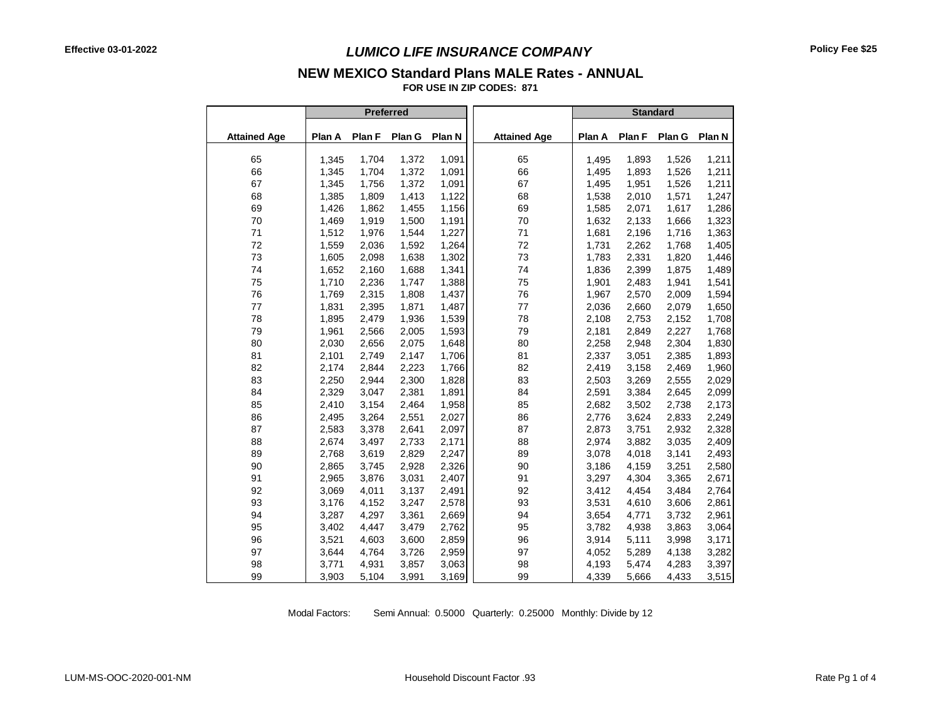# **NEW MEXICO Standard Plans MALE Rates - ANNUAL**

**FOR USE IN ZIP CODES: 871**

|                     |        |        | <b>Preferred</b> |        |                     |        | <b>Standard</b> |        |        |
|---------------------|--------|--------|------------------|--------|---------------------|--------|-----------------|--------|--------|
| <b>Attained Age</b> | Plan A | Plan F | Plan G           | Plan N | <b>Attained Age</b> | Plan A | Plan F          | Plan G | Plan N |
| 65                  | 1,345  | 1,704  | 1,372            | 1,091  | 65                  | 1,495  | 1,893           | 1,526  | 1,211  |
| 66                  | 1,345  | 1,704  | 1,372            | 1,091  | 66                  | 1,495  | 1,893           | 1,526  | 1,211  |
| 67                  | 1,345  | 1,756  | 1,372            | 1,091  | 67                  | 1,495  | 1,951           | 1,526  | 1,211  |
| 68                  | 1,385  | 1,809  | 1,413            | 1,122  | 68                  | 1,538  | 2,010           | 1,571  | 1,247  |
| 69                  | 1,426  | 1,862  | 1,455            | 1,156  | 69                  | 1,585  | 2,071           | 1,617  | 1,286  |
| 70                  | 1,469  | 1,919  | 1,500            | 1,191  | 70                  | 1,632  | 2,133           | 1,666  | 1,323  |
| 71                  | 1,512  | 1,976  | 1,544            | 1,227  | 71                  | 1,681  | 2,196           | 1,716  | 1,363  |
| 72                  | 1,559  | 2,036  | 1,592            | 1,264  | 72                  | 1,731  | 2,262           | 1,768  | 1,405  |
| 73                  | 1,605  | 2,098  | 1,638            | 1,302  | 73                  | 1,783  | 2,331           | 1,820  | 1,446  |
| 74                  | 1,652  | 2,160  | 1,688            | 1,341  | 74                  | 1,836  | 2,399           | 1,875  | 1,489  |
| 75                  | 1,710  | 2,236  | 1,747            | 1,388  | 75                  | 1,901  | 2,483           | 1,941  | 1,541  |
| 76                  | 1,769  | 2,315  | 1,808            | 1,437  | 76                  | 1,967  | 2,570           | 2,009  | 1,594  |
| 77                  | 1,831  | 2,395  | 1,871            | 1,487  | 77                  | 2,036  | 2,660           | 2,079  | 1,650  |
| 78                  | 1,895  | 2,479  | 1,936            | 1,539  | 78                  | 2,108  | 2,753           | 2,152  | 1,708  |
| 79                  | 1,961  | 2,566  | 2,005            | 1,593  | 79                  | 2,181  | 2,849           | 2,227  | 1,768  |
| 80                  | 2,030  | 2,656  | 2,075            | 1,648  | 80                  | 2,258  | 2,948           | 2,304  | 1,830  |
| 81                  | 2,101  | 2,749  | 2,147            | 1,706  | 81                  | 2,337  | 3,051           | 2,385  | 1,893  |
| 82                  | 2,174  | 2,844  | 2,223            | 1,766  | 82                  | 2,419  | 3,158           | 2,469  | 1,960  |
| 83                  | 2,250  | 2,944  | 2,300            | 1,828  | 83                  | 2,503  | 3,269           | 2,555  | 2,029  |
| 84                  | 2,329  | 3,047  | 2,381            | 1,891  | 84                  | 2,591  | 3,384           | 2,645  | 2,099  |
| 85                  | 2,410  | 3,154  | 2,464            | 1,958  | 85                  | 2,682  | 3,502           | 2,738  | 2,173  |
| 86                  | 2,495  | 3,264  | 2,551            | 2,027  | 86                  | 2,776  | 3,624           | 2,833  | 2,249  |
| 87                  | 2,583  | 3,378  | 2,641            | 2,097  | 87                  | 2,873  | 3,751           | 2,932  | 2,328  |
| 88                  | 2,674  | 3,497  | 2,733            | 2,171  | 88                  | 2,974  | 3,882           | 3,035  | 2,409  |
| 89                  | 2,768  | 3,619  | 2,829            | 2,247  | 89                  | 3,078  | 4,018           | 3,141  | 2,493  |
| 90                  | 2,865  | 3,745  | 2,928            | 2,326  | 90                  | 3,186  | 4,159           | 3,251  | 2,580  |
| 91                  | 2,965  | 3,876  | 3,031            | 2,407  | 91                  | 3,297  | 4,304           | 3,365  | 2,671  |
| 92                  | 3,069  | 4,011  | 3,137            | 2,491  | 92                  | 3,412  | 4,454           | 3,484  | 2,764  |
| 93                  | 3,176  | 4,152  | 3,247            | 2,578  | 93                  | 3,531  | 4,610           | 3,606  | 2,861  |
| 94                  | 3,287  | 4,297  | 3,361            | 2,669  | 94                  | 3,654  | 4,771           | 3,732  | 2,961  |
| 95                  | 3,402  | 4,447  | 3,479            | 2,762  | 95                  | 3,782  | 4,938           | 3,863  | 3,064  |
| 96                  | 3,521  | 4,603  | 3,600            | 2,859  | 96                  | 3,914  | 5,111           | 3,998  | 3,171  |
| 97                  | 3,644  | 4,764  | 3,726            | 2,959  | 97                  | 4,052  | 5,289           | 4,138  | 3,282  |
| 98                  | 3,771  | 4,931  | 3,857            | 3,063  | 98                  | 4,193  | 5,474           | 4,283  | 3,397  |
| 99                  | 3,903  | 5,104  | 3,991            | 3,169  | 99                  | 4,339  | 5,666           | 4,433  | 3,515  |

Modal Factors: Semi Annual: 0.5000 Quarterly: 0.25000 Monthly: Divide by 12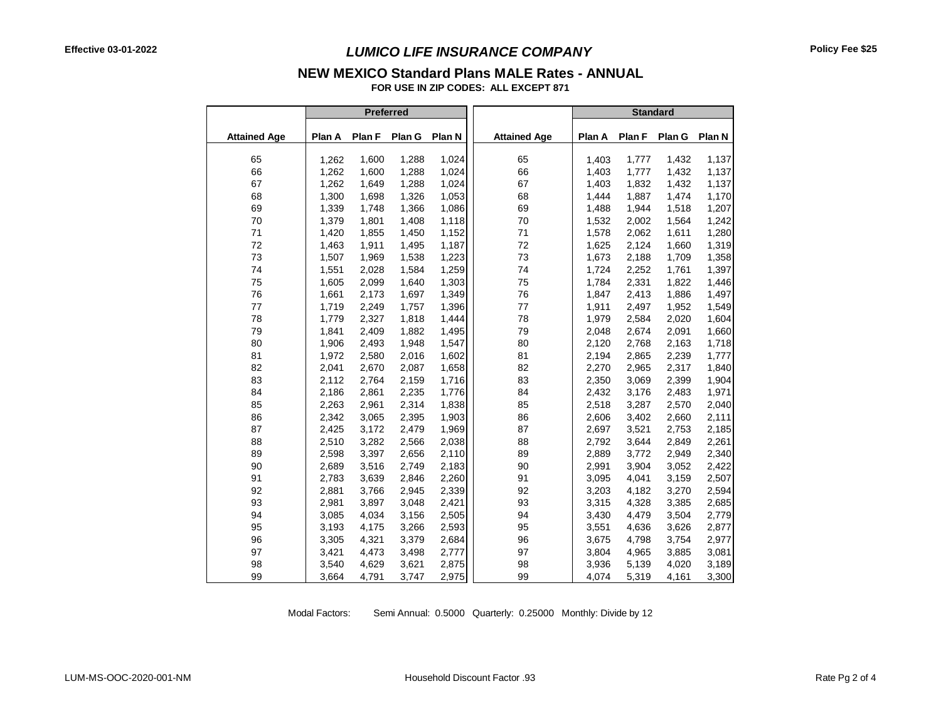#### **NEW MEXICO Standard Plans MALE Rates - ANNUAL**

**FOR USE IN ZIP CODES: ALL EXCEPT 871**

|                     |        | <b>Preferred</b> |        |        |                     |        | <b>Standard</b> |        |        |
|---------------------|--------|------------------|--------|--------|---------------------|--------|-----------------|--------|--------|
| <b>Attained Age</b> | Plan A | Plan F           | Plan G | Plan N | <b>Attained Age</b> | Plan A | Plan F          | Plan G | Plan N |
| 65                  | 1,262  | 1,600            | 1,288  | 1,024  | 65                  | 1,403  | 1,777           | 1,432  | 1,137  |
| 66                  | 1,262  | 1,600            | 1,288  | 1,024  | 66                  | 1,403  | 1,777           | 1,432  | 1,137  |
| 67                  | 1,262  | 1,649            | 1,288  | 1,024  | 67                  | 1,403  | 1,832           | 1,432  | 1,137  |
| 68                  | 1,300  | 1,698            | 1,326  | 1,053  | 68                  | 1,444  | 1,887           | 1,474  | 1,170  |
| 69                  | 1,339  | 1,748            | 1,366  | 1,086  | 69                  | 1,488  | 1,944           | 1,518  | 1,207  |
| 70                  | 1,379  | 1,801            | 1,408  | 1,118  | 70                  | 1,532  | 2,002           | 1,564  | 1,242  |
| 71                  | 1,420  | 1,855            | 1,450  | 1,152  | 71                  | 1,578  | 2,062           | 1,611  | 1,280  |
| 72                  | 1,463  | 1,911            | 1,495  | 1,187  | 72                  | 1,625  | 2,124           | 1,660  | 1,319  |
| 73                  | 1,507  | 1,969            | 1,538  | 1,223  | 73                  | 1,673  | 2,188           | 1,709  | 1,358  |
| 74                  | 1,551  | 2,028            | 1,584  | 1,259  | 74                  | 1,724  | 2,252           | 1,761  | 1,397  |
| 75                  | 1,605  | 2,099            | 1,640  | 1,303  | 75                  | 1,784  | 2,331           | 1,822  | 1,446  |
| 76                  | 1,661  | 2,173            | 1,697  | 1,349  | 76                  | 1,847  | 2,413           | 1,886  | 1,497  |
| 77                  | 1,719  | 2,249            | 1,757  | 1,396  | 77                  | 1,911  | 2,497           | 1,952  | 1,549  |
| 78                  | 1,779  | 2,327            | 1,818  | 1,444  | 78                  | 1,979  | 2,584           | 2,020  | 1,604  |
| 79                  | 1,841  | 2,409            | 1,882  | 1,495  | 79                  | 2,048  | 2,674           | 2,091  | 1,660  |
| 80                  | 1,906  | 2,493            | 1,948  | 1,547  | 80                  | 2,120  | 2,768           | 2,163  | 1,718  |
| 81                  | 1,972  | 2,580            | 2,016  | 1,602  | 81                  | 2,194  | 2,865           | 2,239  | 1,777  |
| 82                  | 2,041  | 2,670            | 2,087  | 1,658  | 82                  | 2,270  | 2,965           | 2,317  | 1,840  |
| 83                  | 2,112  | 2,764            | 2,159  | 1,716  | 83                  | 2,350  | 3,069           | 2,399  | 1,904  |
| 84                  | 2,186  | 2,861            | 2,235  | 1,776  | 84                  | 2,432  | 3,176           | 2,483  | 1,971  |
| 85                  | 2,263  | 2,961            | 2,314  | 1,838  | 85                  | 2,518  | 3,287           | 2,570  | 2,040  |
| 86                  | 2,342  | 3,065            | 2,395  | 1,903  | 86                  | 2,606  | 3,402           | 2,660  | 2,111  |
| 87                  | 2,425  | 3,172            | 2,479  | 1,969  | 87                  | 2,697  | 3,521           | 2,753  | 2,185  |
| 88                  | 2,510  | 3,282            | 2,566  | 2,038  | 88                  | 2,792  | 3,644           | 2,849  | 2,261  |
| 89                  | 2,598  | 3,397            | 2,656  | 2,110  | 89                  | 2,889  | 3,772           | 2,949  | 2,340  |
| 90                  | 2,689  | 3,516            | 2,749  | 2,183  | 90                  | 2,991  | 3,904           | 3,052  | 2,422  |
| 91                  | 2,783  | 3,639            | 2,846  | 2,260  | 91                  | 3,095  | 4,041           | 3,159  | 2,507  |
| 92                  | 2,881  | 3,766            | 2,945  | 2,339  | 92                  | 3,203  | 4,182           | 3,270  | 2,594  |
| 93                  | 2,981  | 3,897            | 3,048  | 2,421  | 93                  | 3,315  | 4,328           | 3,385  | 2,685  |
| 94                  | 3,085  | 4,034            | 3,156  | 2,505  | 94                  | 3,430  | 4,479           | 3,504  | 2,779  |
| 95                  | 3,193  | 4,175            | 3,266  | 2,593  | 95                  | 3,551  | 4,636           | 3,626  | 2,877  |
| 96                  | 3,305  | 4,321            | 3,379  | 2,684  | 96                  | 3,675  | 4,798           | 3,754  | 2,977  |
| 97                  | 3,421  | 4,473            | 3,498  | 2,777  | 97                  | 3,804  | 4,965           | 3,885  | 3,081  |
| 98                  | 3,540  | 4,629            | 3,621  | 2,875  | 98                  | 3,936  | 5,139           | 4,020  | 3,189  |
| 99                  | 3,664  | 4,791            | 3,747  | 2,975  | 99                  | 4,074  | 5,319           | 4,161  | 3,300  |

Modal Factors: Semi Annual: 0.5000 Quarterly: 0.25000 Monthly: Divide by 12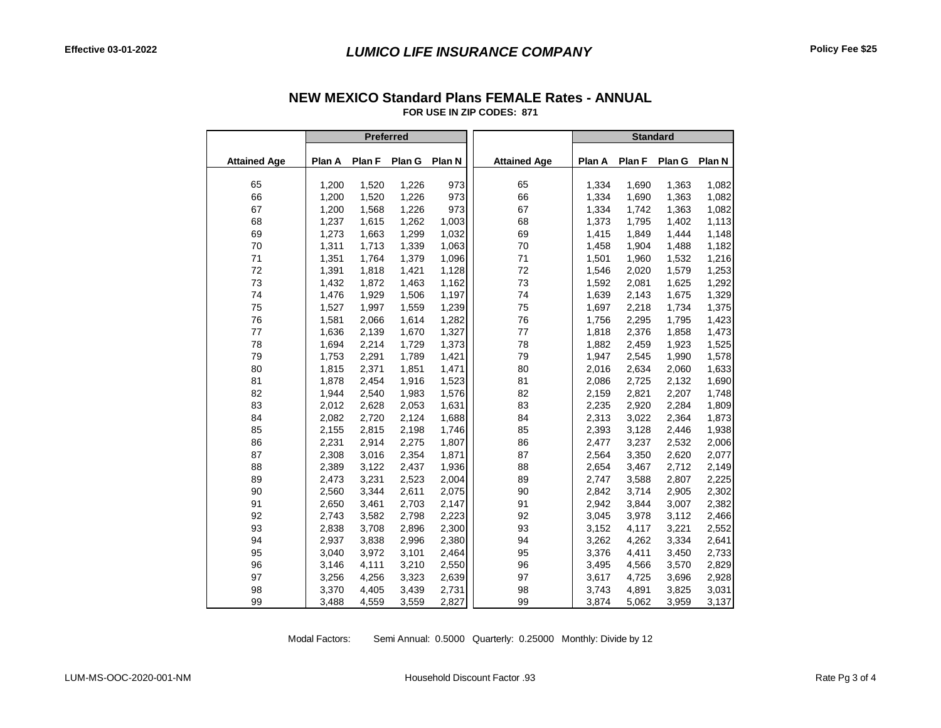|                     | Preferred |        |        |        |                     |        | <b>Standard</b> |        |        |
|---------------------|-----------|--------|--------|--------|---------------------|--------|-----------------|--------|--------|
| <b>Attained Age</b> | Plan A    | Plan F | Plan G | Plan N | <b>Attained Age</b> | Plan A | Plan F          | Plan G | Plan N |
|                     |           |        |        |        |                     |        |                 |        |        |
| 65                  | 1,200     | 1,520  | 1,226  | 973    | 65                  | 1,334  | 1,690           | 1,363  | 1,082  |
| 66                  | 1,200     | 1,520  | 1,226  | 973    | 66                  | 1,334  | 1,690           | 1,363  | 1,082  |
| 67                  | 1,200     | 1,568  | 1,226  | 973    | 67                  | 1,334  | 1,742           | 1,363  | 1,082  |
| 68                  | 1,237     | 1,615  | 1,262  | 1,003  | 68                  | 1,373  | 1,795           | 1,402  | 1,113  |
| 69                  | 1,273     | 1,663  | 1,299  | 1,032  | 69                  | 1,415  | 1,849           | 1,444  | 1,148  |
| 70                  | 1,311     | 1,713  | 1,339  | 1,063  | 70                  | 1,458  | 1,904           | 1,488  | 1,182  |
| 71                  | 1,351     | 1,764  | 1,379  | 1,096  | 71                  | 1,501  | 1,960           | 1,532  | 1,216  |
| 72                  | 1,391     | 1,818  | 1,421  | 1,128  | 72                  | 1,546  | 2,020           | 1,579  | 1,253  |
| 73                  | 1,432     | 1,872  | 1,463  | 1,162  | 73                  | 1,592  | 2,081           | 1,625  | 1,292  |
| 74                  | 1,476     | 1,929  | 1,506  | 1,197  | 74                  | 1,639  | 2,143           | 1,675  | 1,329  |
| 75                  | 1,527     | 1,997  | 1,559  | 1,239  | 75                  | 1,697  | 2,218           | 1,734  | 1,375  |
| 76                  | 1,581     | 2,066  | 1,614  | 1,282  | 76                  | 1,756  | 2,295           | 1,795  | 1,423  |
| 77                  | 1,636     | 2,139  | 1,670  | 1,327  | 77                  | 1,818  | 2,376           | 1,858  | 1,473  |
| 78                  | 1,694     | 2,214  | 1,729  | 1,373  | 78                  | 1,882  | 2,459           | 1,923  | 1,525  |
| 79                  | 1,753     | 2,291  | 1,789  | 1,421  | 79                  | 1,947  | 2,545           | 1,990  | 1,578  |
| 80                  | 1,815     | 2,371  | 1,851  | 1,471  | 80                  | 2,016  | 2,634           | 2,060  | 1,633  |
| 81                  | 1,878     | 2,454  | 1,916  | 1,523  | 81                  | 2,086  | 2,725           | 2,132  | 1,690  |
| 82                  | 1,944     | 2,540  | 1,983  | 1,576  | 82                  | 2,159  | 2,821           | 2,207  | 1,748  |
| 83                  | 2,012     | 2,628  | 2,053  | 1,631  | 83                  | 2,235  | 2,920           | 2,284  | 1,809  |
| 84                  | 2,082     | 2,720  | 2,124  | 1,688  | 84                  | 2,313  | 3,022           | 2,364  | 1,873  |
| 85                  | 2,155     | 2,815  | 2,198  | 1,746  | 85                  | 2,393  | 3,128           | 2,446  | 1,938  |
| 86                  | 2,231     | 2,914  | 2,275  | 1,807  | 86                  | 2,477  | 3,237           | 2,532  | 2,006  |
| 87                  | 2,308     | 3,016  | 2,354  | 1,871  | 87                  | 2,564  | 3,350           | 2,620  | 2,077  |
| 88                  | 2,389     | 3,122  | 2,437  | 1,936  | 88                  | 2,654  | 3,467           | 2,712  | 2,149  |
| 89                  | 2,473     | 3,231  | 2,523  | 2,004  | 89                  | 2,747  | 3,588           | 2,807  | 2,225  |
| 90                  | 2,560     | 3,344  | 2,611  | 2,075  | 90                  | 2,842  | 3,714           | 2,905  | 2,302  |
| 91                  | 2,650     | 3,461  | 2,703  | 2,147  | 91                  | 2,942  | 3,844           | 3,007  | 2,382  |
| 92                  | 2,743     | 3,582  | 2,798  | 2,223  | 92                  | 3,045  | 3,978           | 3,112  | 2,466  |
| 93                  | 2,838     | 3,708  | 2,896  | 2,300  | 93                  | 3,152  | 4,117           | 3,221  | 2,552  |
| 94                  | 2,937     | 3,838  | 2,996  | 2,380  | 94                  | 3,262  | 4,262           | 3,334  | 2,641  |
| 95                  | 3,040     | 3,972  | 3,101  | 2,464  | 95                  | 3,376  | 4,411           | 3,450  | 2,733  |
| 96                  | 3,146     | 4,111  | 3,210  | 2,550  | 96                  | 3,495  | 4,566           | 3,570  | 2,829  |
| 97                  | 3,256     | 4,256  | 3,323  | 2,639  | 97                  | 3,617  | 4,725           | 3,696  | 2,928  |
| 98                  | 3,370     | 4,405  | 3,439  | 2,731  | 98                  | 3,743  | 4,891           | 3,825  | 3,031  |
| 99                  | 3,488     | 4,559  | 3,559  | 2,827  | 99                  | 3,874  | 5,062           | 3,959  | 3,137  |

#### **FOR USE IN ZIP CODES: 871 NEW MEXICO Standard Plans FEMALE Rates - ANNUAL**

Modal Factors: Semi Annual: 0.5000 Quarterly: 0.25000 Monthly: Divide by 12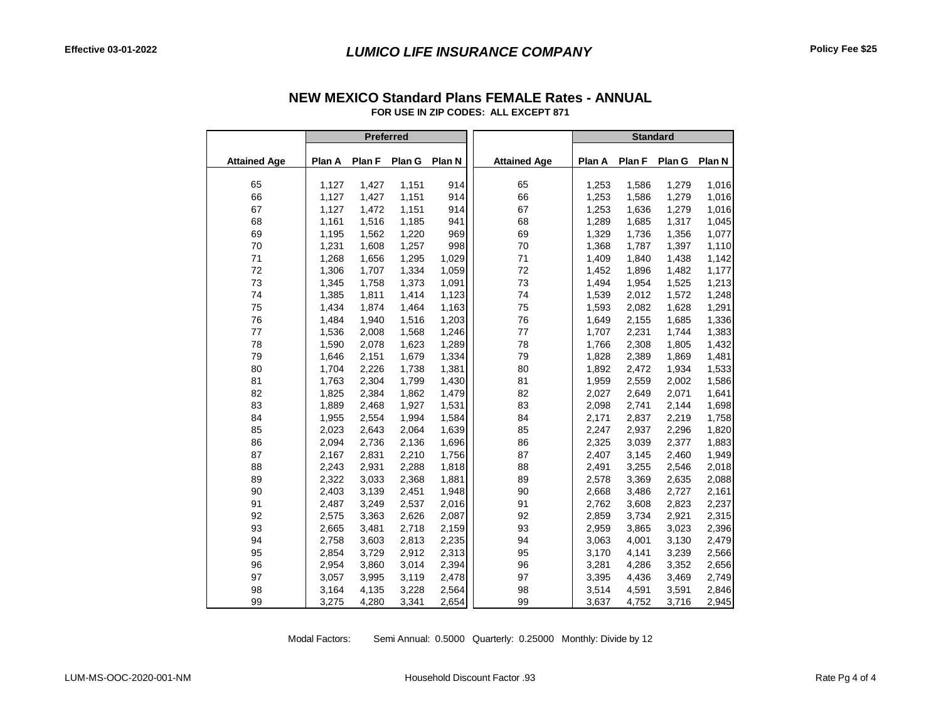|                     |                | Preferred      |                |        |                     |                | <b>Standard</b> |        |        |
|---------------------|----------------|----------------|----------------|--------|---------------------|----------------|-----------------|--------|--------|
|                     |                |                |                |        |                     |                |                 |        |        |
| <b>Attained Age</b> | Plan A         | Plan F         | Plan G         | Plan N | <b>Attained Age</b> | Plan A         | Plan F          | Plan G | Plan N |
| 65                  | 1,127          | 1,427          | 1,151          | 914    | 65                  | 1,253          | 1,586           | 1,279  | 1,016  |
| 66                  | 1,127          | 1,427          | 1,151          | 914    | 66                  | 1,253          | 1,586           | 1,279  | 1,016  |
| 67                  | 1,127          | 1,472          | 1,151          | 914    | 67                  | 1,253          | 1,636           | 1,279  | 1,016  |
| 68                  | 1.161          | 1,516          | 1,185          | 941    | 68                  | 1,289          | 1,685           | 1.317  | 1,045  |
| 69                  | 1,195          | 1,562          | 1,220          | 969    | 69                  | 1,329          | 1,736           | 1,356  | 1,077  |
| 70                  | 1,231          | 1,608          | 1,257          | 998    | 70                  | 1,368          | 1,787           | 1,397  | 1,110  |
| 71                  | 1,268          | 1,656          |                | 1,029  | 71                  | 1,409          | 1,840           | 1,438  | 1,142  |
| 72                  | 1,306          | 1,707          | 1,295<br>1,334 | 1,059  | 72                  | 1,452          | 1,896           | 1,482  | 1,177  |
| 73                  |                |                | 1,373          | 1,091  | 73                  |                |                 | 1,525  | 1,213  |
| 74                  | 1,345<br>1,385 | 1,758<br>1,811 | 1,414          | 1,123  | 74                  | 1,494<br>1,539 | 1,954<br>2,012  | 1,572  | 1,248  |
|                     | 1,434          | 1,874          |                |        |                     |                |                 | 1,628  |        |
| 75<br>76            | 1,484          |                | 1,464          | 1,163  | 75<br>76            | 1,593          | 2,082           |        | 1,291  |
|                     |                | 1,940          | 1,516          | 1,203  |                     | 1,649          | 2,155           | 1,685  | 1,336  |
| 77                  | 1,536          | 2,008          | 1,568          | 1,246  | 77                  | 1,707          | 2,231           | 1,744  | 1,383  |
| 78                  | 1,590          | 2,078          | 1,623          | 1,289  | 78                  | 1,766          | 2,308           | 1,805  | 1,432  |
| 79                  | 1,646          | 2,151          | 1,679          | 1,334  | 79                  | 1,828          | 2,389           | 1,869  | 1,481  |
| 80                  | 1,704          | 2,226          | 1,738          | 1,381  | 80                  | 1,892          | 2,472           | 1,934  | 1,533  |
| 81                  | 1,763          | 2,304          | 1,799          | 1,430  | 81                  | 1,959          | 2,559           | 2.002  | 1,586  |
| 82                  | 1,825          | 2,384          | 1,862          | 1,479  | 82                  | 2,027          | 2,649           | 2,071  | 1,641  |
| 83                  | 1,889          | 2,468          | 1,927          | 1,531  | 83                  | 2,098          | 2,741           | 2,144  | 1,698  |
| 84                  | 1,955          | 2,554          | 1,994          | 1,584  | 84                  | 2,171          | 2,837           | 2,219  | 1,758  |
| 85                  | 2,023          | 2,643          | 2,064          | 1,639  | 85                  | 2,247          | 2,937           | 2,296  | 1,820  |
| 86                  | 2,094          | 2,736          | 2,136          | 1,696  | 86                  | 2,325          | 3,039           | 2,377  | 1,883  |
| 87                  | 2,167          | 2,831          | 2,210          | 1,756  | 87                  | 2,407          | 3,145           | 2,460  | 1,949  |
| 88                  | 2,243          | 2,931          | 2,288          | 1,818  | 88                  | 2,491          | 3,255           | 2,546  | 2,018  |
| 89                  | 2,322          | 3,033          | 2,368          | 1,881  | 89                  | 2,578          | 3,369           | 2,635  | 2,088  |
| 90                  | 2,403          | 3,139          | 2,451          | 1,948  | 90                  | 2,668          | 3,486           | 2,727  | 2,161  |
| 91                  | 2,487          | 3,249          | 2,537          | 2,016  | 91                  | 2,762          | 3,608           | 2,823  | 2,237  |
| 92                  | 2,575          | 3,363          | 2,626          | 2,087  | 92                  | 2,859          | 3,734           | 2,921  | 2,315  |
| 93                  | 2,665          | 3,481          | 2,718          | 2,159  | 93                  | 2,959          | 3,865           | 3,023  | 2,396  |
| 94                  | 2,758          | 3,603          | 2,813          | 2,235  | 94                  | 3,063          | 4,001           | 3,130  | 2,479  |
| 95                  | 2,854          | 3,729          | 2,912          | 2,313  | 95                  | 3,170          | 4,141           | 3,239  | 2,566  |
| 96                  | 2,954          | 3,860          | 3,014          | 2,394  | 96                  | 3,281          | 4,286           | 3,352  | 2,656  |
| 97                  | 3,057          | 3,995          | 3,119          | 2,478  | 97                  | 3,395          | 4,436           | 3,469  | 2,749  |
| 98                  | 3,164          | 4,135          | 3,228          | 2,564  | 98                  | 3,514          | 4,591           | 3,591  | 2,846  |
| 99                  | 3,275          | 4,280          | 3,341          | 2,654  | 99                  | 3,637          | 4,752           | 3,716  | 2,945  |

#### **FOR USE IN ZIP CODES: ALL EXCEPT 871 NEW MEXICO Standard Plans FEMALE Rates - ANNUAL**

Modal Factors: Semi Annual: 0.5000 Quarterly: 0.25000 Monthly: Divide by 12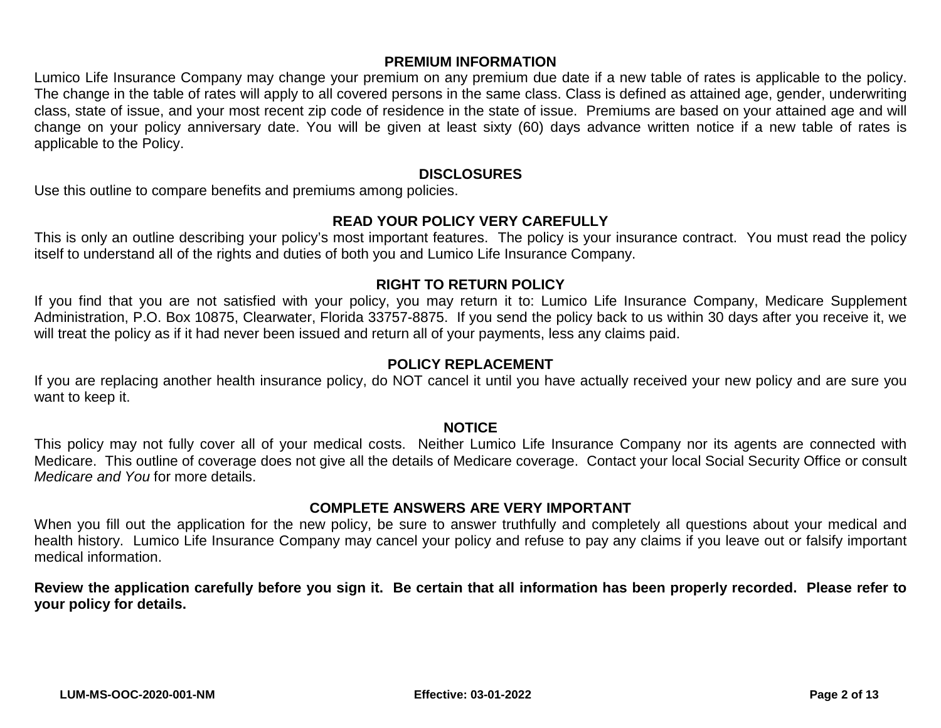### **PREMIUM INFORMATION**

Lumico Life Insurance Company may change your premium on any premium due date if a new table of rates is applicable to the policy. The change in the table of rates will apply to all covered persons in the same class. Class is defined as attained age, gender, underwriting class, state of issue, and your most recent zip code of residence in the state of issue. Premiums are based on your attained age and will change on your policy anniversary date. You will be given at least sixty (60) days advance written notice if a new table of rates is applicable to the Policy.

#### **DISCLOSURES**

Use this outline to compare benefits and premiums among policies.

#### **READ YOUR POLICY VERY CAREFULLY**

This is only an outline describing your policy's most important features. The policy is your insurance contract. You must read the policy itself to understand all of the rights and duties of both you and Lumico Life Insurance Company.

#### **RIGHT TO RETURN POLICY**

If you find that you are not satisfied with your policy, you may return it to: Lumico Life Insurance Company, Medicare Supplement Administration, P.O. Box 10875, Clearwater, Florida 33757-8875. If you send the policy back to us within 30 days after you receive it, we will treat the policy as if it had never been issued and return all of your payments, less any claims paid.

#### **POLICY REPLACEMENT**

If you are replacing another health insurance policy, do NOT cancel it until you have actually received your new policy and are sure you want to keep it.

#### **NOTICE**

This policy may not fully cover all of your medical costs. Neither Lumico Life Insurance Company nor its agents are connected with Medicare. This outline of coverage does not give all the details of Medicare coverage. Contact your local Social Security Office or consult *Medicare and You* for more details.

#### **COMPLETE ANSWERS ARE VERY IMPORTANT**

When you fill out the application for the new policy, be sure to answer truthfully and completely all questions about your medical and health history. Lumico Life Insurance Company may cancel your policy and refuse to pay any claims if you leave out or falsify important medical information.

**Review the application carefully before you sign it. Be certain that all information has been properly recorded. Please refer to your policy for details.**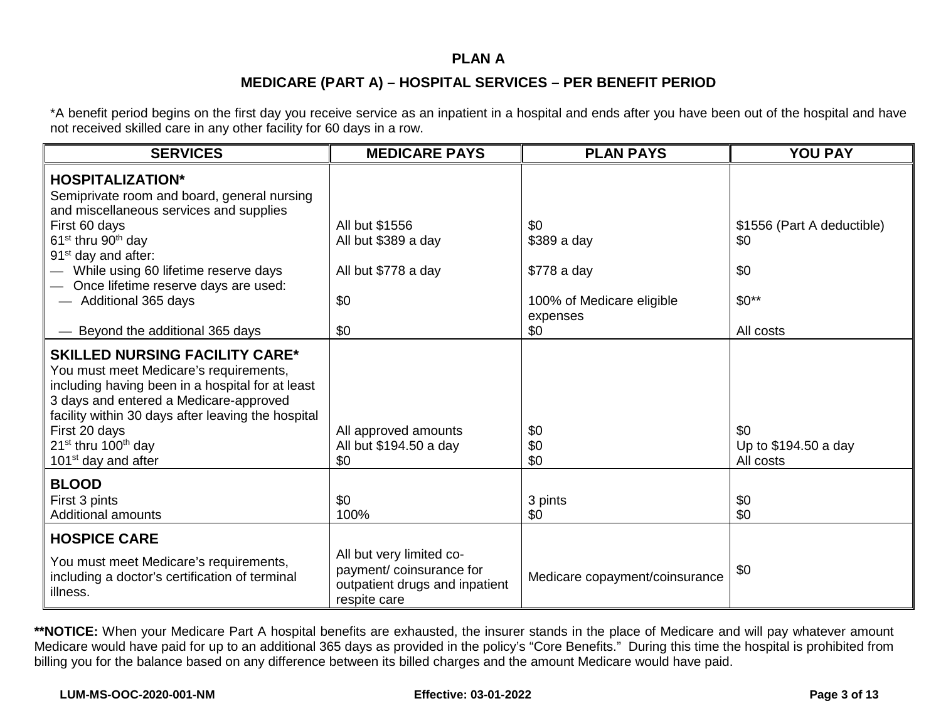#### **PLAN A**

### **MEDICARE (PART A) – HOSPITAL SERVICES – PER BENEFIT PERIOD**

\*A benefit period begins on the first day you receive service as an inpatient in a hospital and ends after you have been out of the hospital and have not received skilled care in any other facility for 60 days in a row.

| <b>SERVICES</b>                                                                                                                                                                                                                                                                                                                 | <b>MEDICARE PAYS</b>                                                                                  | <b>PLAN PAYS</b>                      | <b>YOU PAY</b>                           |
|---------------------------------------------------------------------------------------------------------------------------------------------------------------------------------------------------------------------------------------------------------------------------------------------------------------------------------|-------------------------------------------------------------------------------------------------------|---------------------------------------|------------------------------------------|
| <b>HOSPITALIZATION*</b><br>Semiprivate room and board, general nursing                                                                                                                                                                                                                                                          |                                                                                                       |                                       |                                          |
| and miscellaneous services and supplies<br>First 60 days<br>61 <sup>st</sup> thru 90 <sup>th</sup> day<br>91 <sup>st</sup> day and after:                                                                                                                                                                                       | All but \$1556<br>All but \$389 a day                                                                 | \$0<br>\$389 a day                    | \$1556 (Part A deductible)<br>\$0        |
| While using 60 lifetime reserve days<br>Once lifetime reserve days are used:                                                                                                                                                                                                                                                    | All but \$778 a day                                                                                   | \$778 a day                           | \$0                                      |
| - Additional 365 days                                                                                                                                                                                                                                                                                                           | \$0                                                                                                   | 100% of Medicare eligible<br>expenses | $$0**$                                   |
| Beyond the additional 365 days                                                                                                                                                                                                                                                                                                  | \$0                                                                                                   | \$0                                   | All costs                                |
| <b>SKILLED NURSING FACILITY CARE*</b><br>You must meet Medicare's requirements,<br>including having been in a hospital for at least<br>3 days and entered a Medicare-approved<br>facility within 30 days after leaving the hospital<br>First 20 days<br>$21^{st}$ thru 100 <sup>th</sup> day<br>101 <sup>st</sup> day and after | All approved amounts<br>All but \$194.50 a day<br>\$0                                                 | \$0<br>\$0<br>\$0                     | \$0<br>Up to \$194.50 a day<br>All costs |
| <b>BLOOD</b><br>First 3 pints<br><b>Additional amounts</b>                                                                                                                                                                                                                                                                      | \$0<br>100%                                                                                           | 3 pints<br>\$0                        | \$0<br>\$0                               |
| <b>HOSPICE CARE</b>                                                                                                                                                                                                                                                                                                             |                                                                                                       |                                       |                                          |
| You must meet Medicare's requirements,<br>including a doctor's certification of terminal<br>illness.                                                                                                                                                                                                                            | All but very limited co-<br>payment/coinsurance for<br>outpatient drugs and inpatient<br>respite care | Medicare copayment/coinsurance        | \$0                                      |

**\*\*NOTICE:** When your Medicare Part A hospital benefits are exhausted, the insurer stands in the place of Medicare and will pay whatever amount Medicare would have paid for up to an additional 365 days as provided in the policy's "Core Benefits." During this time the hospital is prohibited from billing you for the balance based on any difference between its billed charges and the amount Medicare would have paid.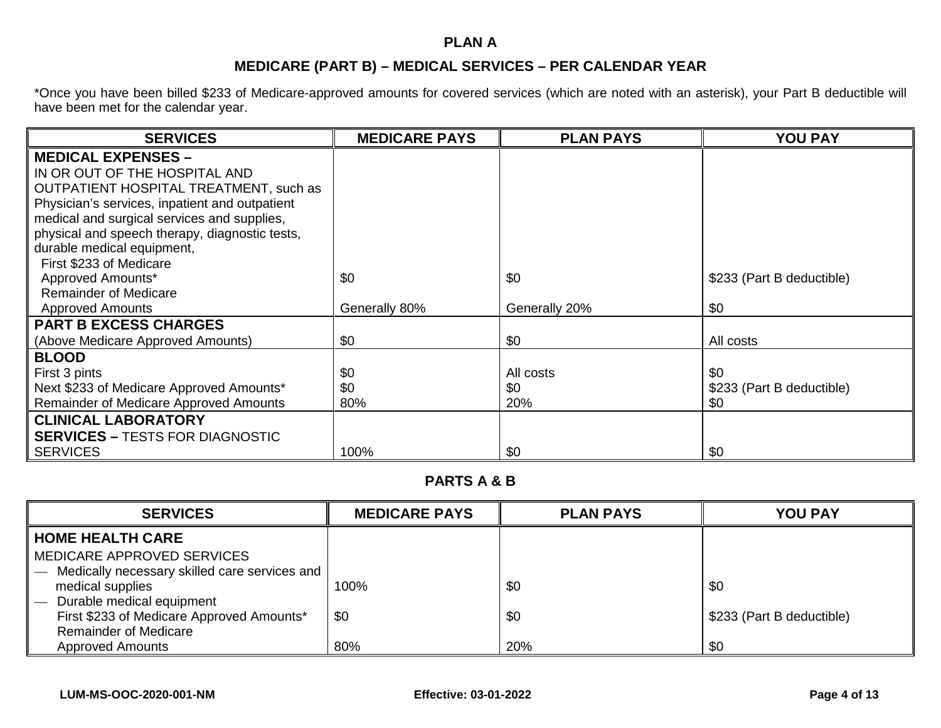## **PLAN A**

## **MEDICARE (PART B) – MEDICAL SERVICES – PER CALENDAR YEAR**

\*Once you have been billed \$233 of Medicare-approved amounts for covered services (which are noted with an asterisk), your Part B deductible will have been met for the calendar year.

| <b>SERVICES</b>                                | <b>MEDICARE PAYS</b> | <b>PLAN PAYS</b> | <b>YOU PAY</b>            |
|------------------------------------------------|----------------------|------------------|---------------------------|
| <b>MEDICAL EXPENSES -</b>                      |                      |                  |                           |
| IN OR OUT OF THE HOSPITAL AND                  |                      |                  |                           |
| <b>OUTPATIENT HOSPITAL TREATMENT, such as</b>  |                      |                  |                           |
| Physician's services, inpatient and outpatient |                      |                  |                           |
| medical and surgical services and supplies,    |                      |                  |                           |
| physical and speech therapy, diagnostic tests, |                      |                  |                           |
| durable medical equipment,                     |                      |                  |                           |
| First \$233 of Medicare                        |                      |                  |                           |
| Approved Amounts*                              | \$0                  | \$0              | \$233 (Part B deductible) |
| <b>Remainder of Medicare</b>                   |                      |                  |                           |
| <b>Approved Amounts</b>                        | Generally 80%        | Generally 20%    | \$0                       |
| <b>PART B EXCESS CHARGES</b>                   |                      |                  |                           |
| (Above Medicare Approved Amounts)              | \$0                  | \$0              | All costs                 |
| <b>BLOOD</b>                                   |                      |                  |                           |
| First 3 pints                                  | \$0                  | All costs        | \$0                       |
| Next \$233 of Medicare Approved Amounts*       | \$0                  | \$0              | \$233 (Part B deductible) |
| Remainder of Medicare Approved Amounts         | 80%                  | 20%              | \$0                       |
| <b>CLINICAL LABORATORY</b>                     |                      |                  |                           |
| <b>SERVICES - TESTS FOR DIAGNOSTIC</b>         |                      |                  |                           |
| <b>SERVICES</b>                                | 100%                 | \$0              | \$0                       |

### **PARTS A & B**

| <b>SERVICES</b>                                                                                | <b>MEDICARE PAYS</b> | <b>PLAN PAYS</b> | <b>YOU PAY</b>            |
|------------------------------------------------------------------------------------------------|----------------------|------------------|---------------------------|
| <b>HOME HEALTH CARE</b><br>MEDICARE APPROVED SERVICES                                          |                      |                  |                           |
| Medically necessary skilled care services and<br>medical supplies<br>Durable medical equipment | 100%                 | \$0              | \$0                       |
| First \$233 of Medicare Approved Amounts*<br><b>Remainder of Medicare</b>                      | \$0                  | \$0              | \$233 (Part B deductible) |
| <b>Approved Amounts</b>                                                                        | 80%                  | 20%              | \$0                       |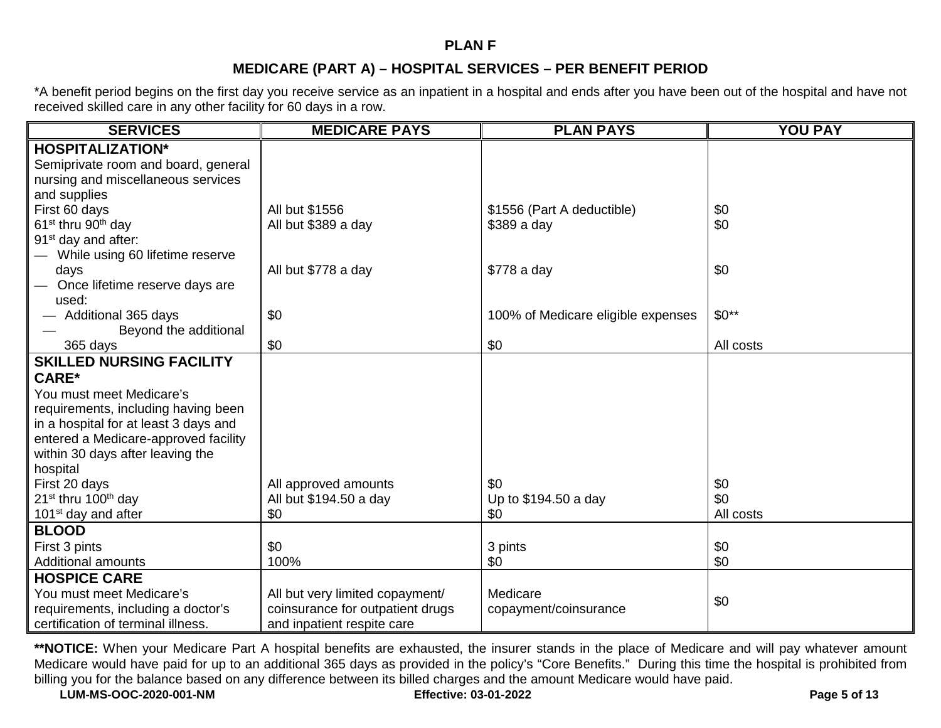### **PLAN F**

## **MEDICARE (PART A) – HOSPITAL SERVICES – PER BENEFIT PERIOD**

\*A benefit period begins on the first day you receive service as an inpatient in a hospital and ends after you have been out of the hospital and have not received skilled care in any other facility for 60 days in a row.

| <b>SERVICES</b>                             | <b>MEDICARE PAYS</b>             | <b>PLAN PAYS</b>                   | <b>YOU PAY</b> |
|---------------------------------------------|----------------------------------|------------------------------------|----------------|
| <b>HOSPITALIZATION*</b>                     |                                  |                                    |                |
| Semiprivate room and board, general         |                                  |                                    |                |
| nursing and miscellaneous services          |                                  |                                    |                |
| and supplies                                |                                  |                                    |                |
| First 60 days                               | All but \$1556                   | \$1556 (Part A deductible)         | \$0            |
| 61 <sup>st</sup> thru 90 <sup>th</sup> day  | All but \$389 a day              | $$389a$ day                        | \$0            |
| 91 <sup>st</sup> day and after:             |                                  |                                    |                |
| While using 60 lifetime reserve             |                                  |                                    |                |
| days                                        | All but \$778 a day              | \$778 a day                        | \$0            |
| Once lifetime reserve days are              |                                  |                                    |                |
| used:                                       |                                  |                                    |                |
| Additional 365 days                         | \$0                              | 100% of Medicare eligible expenses | $$0**$         |
| Beyond the additional                       |                                  |                                    |                |
| 365 days                                    | \$0                              | \$0                                | All costs      |
| <b>SKILLED NURSING FACILITY</b>             |                                  |                                    |                |
| <b>CARE*</b>                                |                                  |                                    |                |
| You must meet Medicare's                    |                                  |                                    |                |
| requirements, including having been         |                                  |                                    |                |
| in a hospital for at least 3 days and       |                                  |                                    |                |
| entered a Medicare-approved facility        |                                  |                                    |                |
| within 30 days after leaving the            |                                  |                                    |                |
| hospital                                    |                                  |                                    |                |
| First 20 days                               | All approved amounts             | \$0                                | \$0            |
| 21 <sup>st</sup> thru 100 <sup>th</sup> day | All but \$194.50 a day           | Up to \$194.50 a day               | \$0            |
| 101 <sup>st</sup> day and after             | \$0                              | \$0                                | All costs      |
| <b>BLOOD</b>                                |                                  |                                    |                |
| First 3 pints                               | \$0                              | 3 pints                            | \$0            |
| <b>Additional amounts</b>                   | 100%                             | \$0                                | \$0            |
| <b>HOSPICE CARE</b>                         |                                  |                                    |                |
| You must meet Medicare's                    | All but very limited copayment/  | Medicare                           | \$0            |
| requirements, including a doctor's          | coinsurance for outpatient drugs | copayment/coinsurance              |                |
| certification of terminal illness.          | and inpatient respite care       |                                    |                |

**\*\*NOTICE:** When your Medicare Part A hospital benefits are exhausted, the insurer stands in the place of Medicare and will pay whatever amount Medicare would have paid for up to an additional 365 days as provided in the policy's "Core Benefits." During this time the hospital is prohibited from billing you for the balance based on any difference between its billed charges and the amount Medicare would have paid.

**LUM-MS-OOC-2020-001-NM Effective: 03-01-2022 Page 5 of 13**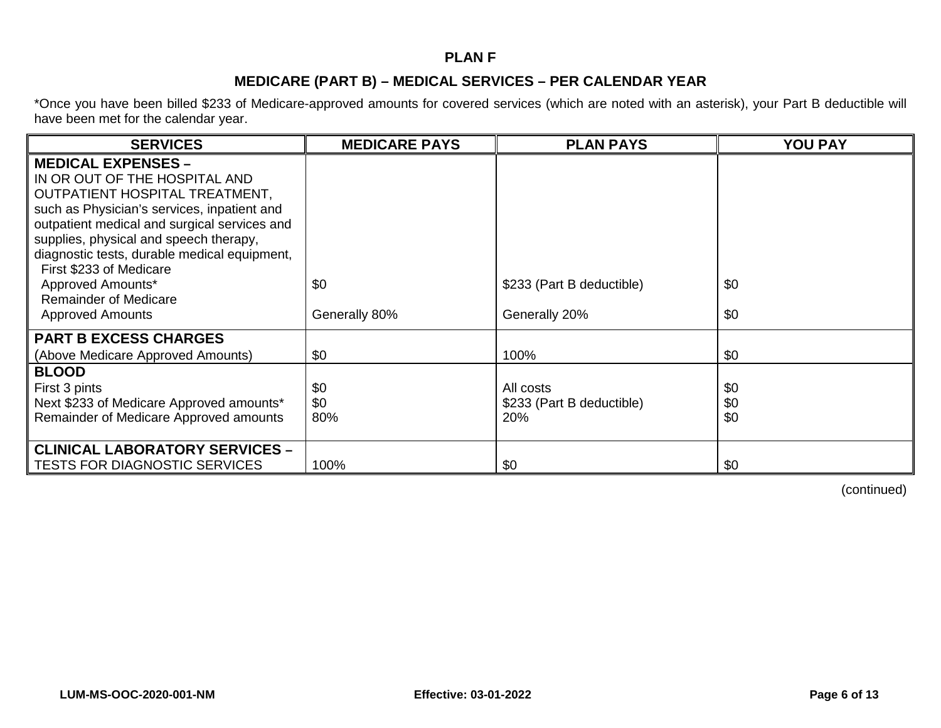## **PLAN F**

### **MEDICARE (PART B) – MEDICAL SERVICES – PER CALENDAR YEAR**

\*Once you have been billed \$233 of Medicare-approved amounts for covered services (which are noted with an asterisk), your Part B deductible will have been met for the calendar year.

| <b>SERVICES</b>                                                                                                                                                                                                                                                                                                                                                                                  | <b>MEDICARE PAYS</b> | <b>PLAN PAYS</b>                              | <b>YOU PAY</b>    |
|--------------------------------------------------------------------------------------------------------------------------------------------------------------------------------------------------------------------------------------------------------------------------------------------------------------------------------------------------------------------------------------------------|----------------------|-----------------------------------------------|-------------------|
| <b>MEDICAL EXPENSES -</b><br>IN OR OUT OF THE HOSPITAL AND<br>OUTPATIENT HOSPITAL TREATMENT,<br>such as Physician's services, inpatient and<br>outpatient medical and surgical services and<br>supplies, physical and speech therapy,<br>diagnostic tests, durable medical equipment,<br>First \$233 of Medicare<br>Approved Amounts*<br><b>Remainder of Medicare</b><br><b>Approved Amounts</b> | \$0<br>Generally 80% | \$233 (Part B deductible)<br>Generally 20%    | \$0<br>\$0        |
| <b>PART B EXCESS CHARGES</b><br>(Above Medicare Approved Amounts)                                                                                                                                                                                                                                                                                                                                | \$0                  | 100%                                          | \$0               |
| <b>BLOOD</b><br>First 3 pints<br>Next \$233 of Medicare Approved amounts*<br>Remainder of Medicare Approved amounts                                                                                                                                                                                                                                                                              | \$0<br>\$0<br>80%    | All costs<br>\$233 (Part B deductible)<br>20% | \$0<br>\$0<br>\$0 |
| <b>CLINICAL LABORATORY SERVICES -</b><br><b>TESTS FOR DIAGNOSTIC SERVICES</b>                                                                                                                                                                                                                                                                                                                    | 100%                 | \$0                                           | \$0               |

(continued)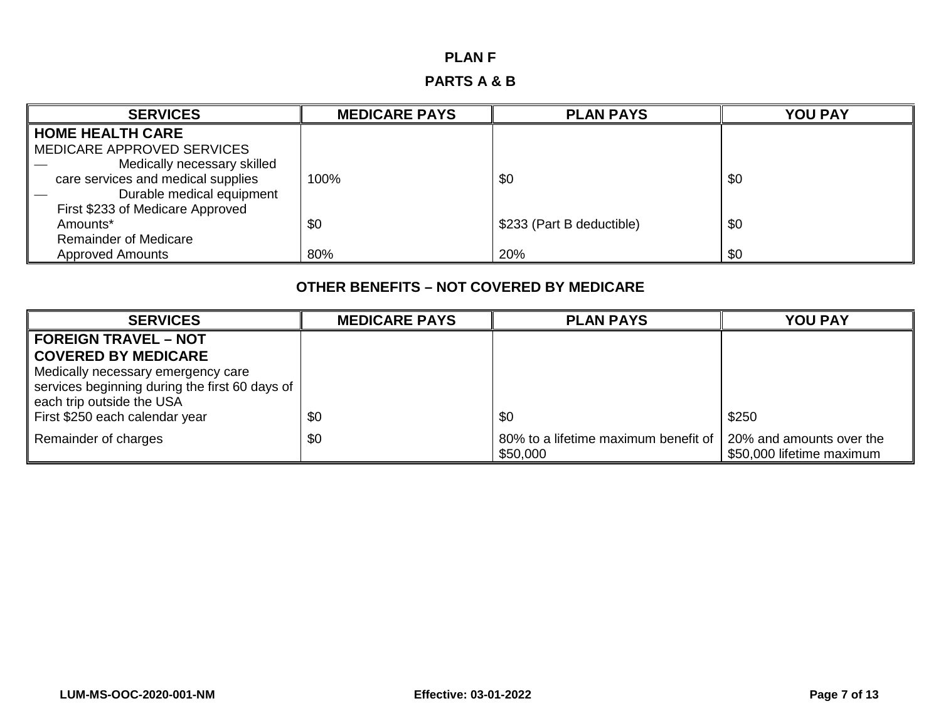## **PLAN F**

# **PARTS A & B**

| <b>SERVICES</b>                    | <b>MEDICARE PAYS</b> | <b>PLAN PAYS</b>          | <b>YOU PAY</b> |
|------------------------------------|----------------------|---------------------------|----------------|
| <b>HOME HEALTH CARE</b>            |                      |                           |                |
| MEDICARE APPROVED SERVICES         |                      |                           |                |
| Medically necessary skilled        |                      |                           |                |
| care services and medical supplies | 100%                 | \$0                       | \$0            |
| Durable medical equipment          |                      |                           |                |
| First \$233 of Medicare Approved   |                      |                           |                |
| Amounts*                           | \$0                  | \$233 (Part B deductible) | \$0            |
| <b>Remainder of Medicare</b>       |                      |                           |                |
| <b>Approved Amounts</b>            | 80%                  | 20%                       | \$0            |

## **OTHER BENEFITS – NOT COVERED BY MEDICARE**

| <b>SERVICES</b>                                | <b>MEDICARE PAYS</b> | <b>PLAN PAYS</b>                                 | <b>YOU PAY</b>                                        |
|------------------------------------------------|----------------------|--------------------------------------------------|-------------------------------------------------------|
| <b>FOREIGN TRAVEL - NOT</b>                    |                      |                                                  |                                                       |
| <b>COVERED BY MEDICARE</b>                     |                      |                                                  |                                                       |
| Medically necessary emergency care             |                      |                                                  |                                                       |
| services beginning during the first 60 days of |                      |                                                  |                                                       |
| each trip outside the USA                      |                      |                                                  |                                                       |
| First \$250 each calendar year                 | \$0                  | \$0                                              | \$250                                                 |
| Remainder of charges                           | \$0                  | 80% to a lifetime maximum benefit of<br>\$50,000 | 20% and amounts over the<br>\$50,000 lifetime maximum |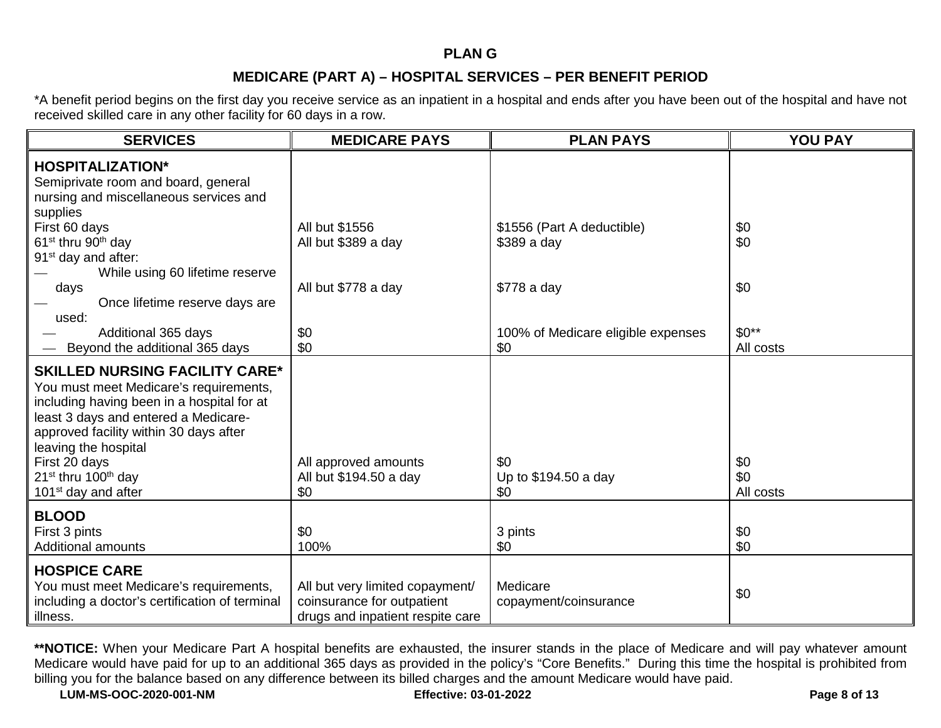## **PLAN G**

## **MEDICARE (PART A) – HOSPITAL SERVICES – PER BENEFIT PERIOD**

\*A benefit period begins on the first day you receive service as an inpatient in a hospital and ends after you have been out of the hospital and have not received skilled care in any other facility for 60 days in a row.

| <b>SERVICES</b>                                                                                                                                                                                                                                                                                                                            | <b>MEDICARE PAYS</b>                                                                              | <b>PLAN PAYS</b>                          | <b>YOU PAY</b>          |
|--------------------------------------------------------------------------------------------------------------------------------------------------------------------------------------------------------------------------------------------------------------------------------------------------------------------------------------------|---------------------------------------------------------------------------------------------------|-------------------------------------------|-------------------------|
| <b>HOSPITALIZATION*</b><br>Semiprivate room and board, general<br>nursing and miscellaneous services and<br>supplies<br>First 60 days                                                                                                                                                                                                      | All but \$1556                                                                                    | \$1556 (Part A deductible)                | \$0                     |
| 61 <sup>st</sup> thru 90 <sup>th</sup> day<br>91 <sup>st</sup> day and after:<br>While using 60 lifetime reserve                                                                                                                                                                                                                           | All but \$389 a day                                                                               | \$389 a day                               | \$0                     |
| days<br>Once lifetime reserve days are<br>used:                                                                                                                                                                                                                                                                                            | All but \$778 a day                                                                               | \$778 a day                               | \$0                     |
| Additional 365 days<br>Beyond the additional 365 days                                                                                                                                                                                                                                                                                      | \$0<br>\$0                                                                                        | 100% of Medicare eligible expenses<br>\$0 | $$0**$<br>All costs     |
| <b>SKILLED NURSING FACILITY CARE*</b><br>You must meet Medicare's requirements,<br>including having been in a hospital for at<br>least 3 days and entered a Medicare-<br>approved facility within 30 days after<br>leaving the hospital<br>First 20 days<br>21 <sup>st</sup> thru 100 <sup>th</sup> day<br>101 <sup>st</sup> day and after | All approved amounts<br>All but \$194.50 a day<br>\$0                                             | \$0<br>Up to \$194.50 a day<br>\$0        | \$0<br>\$0<br>All costs |
| <b>BLOOD</b><br>First 3 pints<br><b>Additional amounts</b>                                                                                                                                                                                                                                                                                 | \$0<br>100%                                                                                       | 3 pints<br>\$0                            | \$0<br>\$0              |
| <b>HOSPICE CARE</b><br>You must meet Medicare's requirements,<br>including a doctor's certification of terminal<br>illness.                                                                                                                                                                                                                | All but very limited copayment/<br>coinsurance for outpatient<br>drugs and inpatient respite care | Medicare<br>copayment/coinsurance         | \$0                     |

**\*\*NOTICE:** When your Medicare Part A hospital benefits are exhausted, the insurer stands in the place of Medicare and will pay whatever amount Medicare would have paid for up to an additional 365 days as provided in the policy's "Core Benefits." During this time the hospital is prohibited from billing you for the balance based on any difference between its billed charges and the amount Medicare would have paid.

**LUM-MS-OOC-2020-001-NM Effective: 03-01-2022 Page 8 of 13**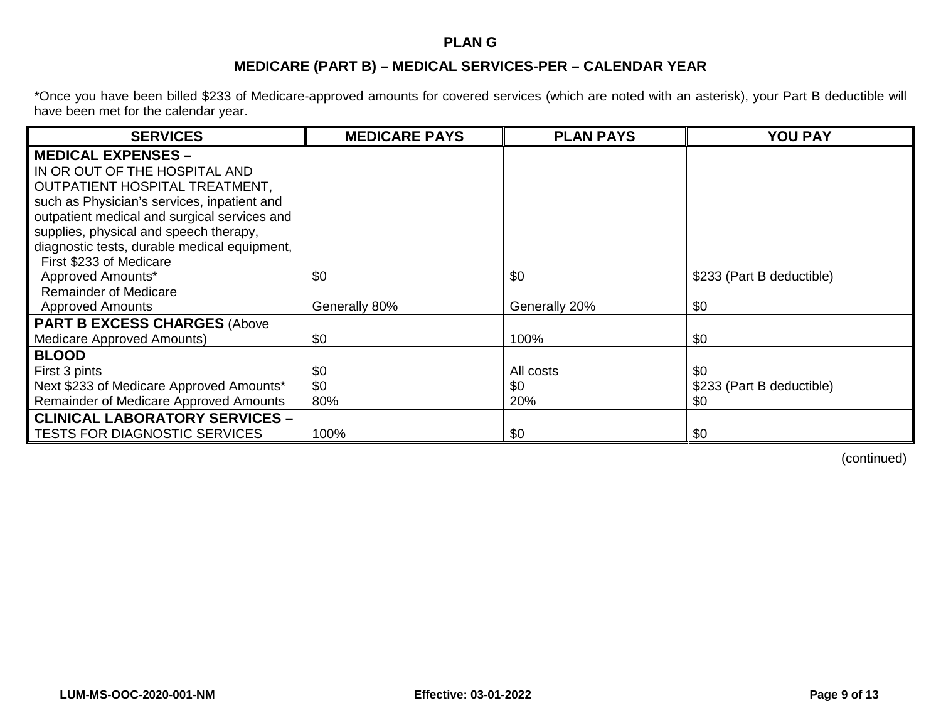### **PLAN G**

## **MEDICARE (PART B) – MEDICAL SERVICES-PER – CALENDAR YEAR**

\*Once you have been billed \$233 of Medicare-approved amounts for covered services (which are noted with an asterisk), your Part B deductible will have been met for the calendar year.

| <b>SERVICES</b>                              | <b>MEDICARE PAYS</b> | <b>PLAN PAYS</b> | <b>YOU PAY</b>            |
|----------------------------------------------|----------------------|------------------|---------------------------|
| <b>MEDICAL EXPENSES -</b>                    |                      |                  |                           |
| IN OR OUT OF THE HOSPITAL AND                |                      |                  |                           |
| OUTPATIENT HOSPITAL TREATMENT,               |                      |                  |                           |
| such as Physician's services, inpatient and  |                      |                  |                           |
| outpatient medical and surgical services and |                      |                  |                           |
| supplies, physical and speech therapy,       |                      |                  |                           |
| diagnostic tests, durable medical equipment, |                      |                  |                           |
| First \$233 of Medicare                      |                      |                  |                           |
| Approved Amounts*                            | \$0                  | \$0              | \$233 (Part B deductible) |
| <b>Remainder of Medicare</b>                 |                      |                  |                           |
| <b>Approved Amounts</b>                      | Generally 80%        | Generally 20%    | \$0                       |
| <b>PART B EXCESS CHARGES (Above</b>          |                      |                  |                           |
| Medicare Approved Amounts)                   | \$0                  | 100%             | \$0                       |
| <b>BLOOD</b>                                 |                      |                  |                           |
| First 3 pints                                | \$0                  | All costs        | \$0                       |
| Next \$233 of Medicare Approved Amounts*     | \$0                  | \$0              | \$233 (Part B deductible) |
| Remainder of Medicare Approved Amounts       | 80%                  | 20%              | \$0                       |
| <b>CLINICAL LABORATORY SERVICES -</b>        |                      |                  |                           |
| <b>TESTS FOR DIAGNOSTIC SERVICES</b>         | 100%                 | \$0              | \$0                       |

(continued)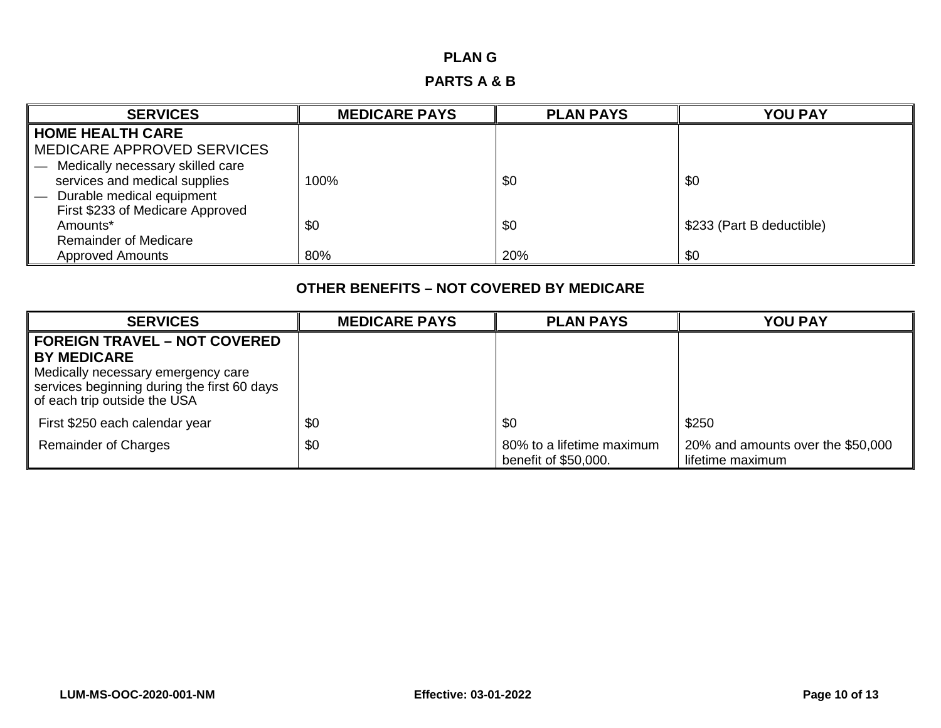## **PLAN G**

## **PARTS A & B**

| <b>SERVICES</b>                  | <b>MEDICARE PAYS</b> | <b>PLAN PAYS</b> | <b>YOU PAY</b>            |
|----------------------------------|----------------------|------------------|---------------------------|
| <b>HOME HEALTH CARE</b>          |                      |                  |                           |
| MEDICARE APPROVED SERVICES       |                      |                  |                           |
| Medically necessary skilled care |                      |                  |                           |
| services and medical supplies    | 100%                 | \$0              | \$0                       |
| Durable medical equipment        |                      |                  |                           |
| First \$233 of Medicare Approved |                      |                  |                           |
| Amounts*                         | \$0                  | \$0              | \$233 (Part B deductible) |
| <b>Remainder of Medicare</b>     |                      |                  |                           |
| <b>Approved Amounts</b>          | 80%                  | 20%              | \$0                       |

## **OTHER BENEFITS – NOT COVERED BY MEDICARE**

| <b>SERVICES</b>                                                                                                                         | <b>MEDICARE PAYS</b> | <b>PLAN PAYS</b>                                  | <b>YOU PAY</b>                                        |
|-----------------------------------------------------------------------------------------------------------------------------------------|----------------------|---------------------------------------------------|-------------------------------------------------------|
| <b>FOREIGN TRAVEL – NOT COVERED</b>                                                                                                     |                      |                                                   |                                                       |
| <b>BY MEDICARE</b><br>Medically necessary emergency care<br>services beginning during the first 60 days<br>of each trip outside the USA |                      |                                                   |                                                       |
| First \$250 each calendar year                                                                                                          | \$0                  | \$0                                               | \$250                                                 |
| <b>Remainder of Charges</b>                                                                                                             | \$0                  | 80% to a lifetime maximum<br>benefit of \$50,000. | 20% and amounts over the \$50,000<br>lifetime maximum |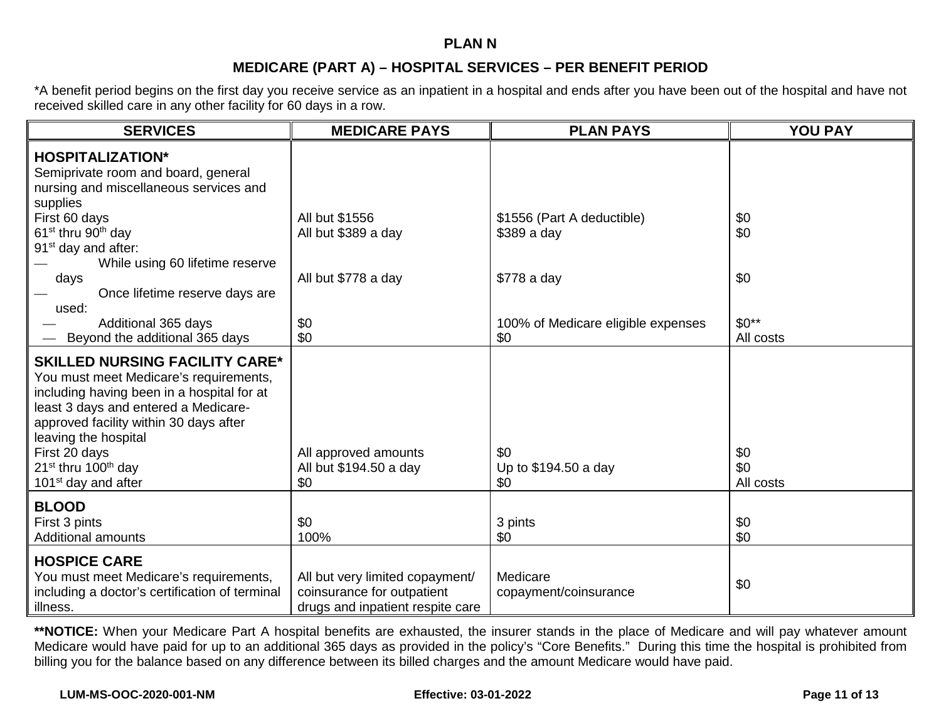#### **PLAN N**

## **MEDICARE (PART A) – HOSPITAL SERVICES – PER BENEFIT PERIOD**

\*A benefit period begins on the first day you receive service as an inpatient in a hospital and ends after you have been out of the hospital and have not received skilled care in any other facility for 60 days in a row.

| <b>SERVICES</b>                                                                                                                                                                                                                                                                                                                            | <b>MEDICARE PAYS</b>                                                                              | <b>PLAN PAYS</b>                          | <b>YOU PAY</b>          |
|--------------------------------------------------------------------------------------------------------------------------------------------------------------------------------------------------------------------------------------------------------------------------------------------------------------------------------------------|---------------------------------------------------------------------------------------------------|-------------------------------------------|-------------------------|
| <b>HOSPITALIZATION*</b><br>Semiprivate room and board, general<br>nursing and miscellaneous services and<br>supplies                                                                                                                                                                                                                       |                                                                                                   |                                           |                         |
| First 60 days<br>61 <sup>st</sup> thru 90 <sup>th</sup> day<br>91 <sup>st</sup> day and after:<br>While using 60 lifetime reserve                                                                                                                                                                                                          | All but \$1556<br>All but \$389 a day                                                             | \$1556 (Part A deductible)<br>\$389 a day | \$0<br>\$0              |
| days<br>Once lifetime reserve days are<br>used:                                                                                                                                                                                                                                                                                            | All but \$778 a day                                                                               | \$778 a day                               | \$0                     |
| Additional 365 days<br>Beyond the additional 365 days                                                                                                                                                                                                                                                                                      | \$0<br>\$0                                                                                        | 100% of Medicare eligible expenses<br>\$0 | $$0**$<br>All costs     |
| <b>SKILLED NURSING FACILITY CARE*</b><br>You must meet Medicare's requirements,<br>including having been in a hospital for at<br>least 3 days and entered a Medicare-<br>approved facility within 30 days after<br>leaving the hospital<br>First 20 days<br>21 <sup>st</sup> thru 100 <sup>th</sup> day<br>101 <sup>st</sup> day and after | All approved amounts<br>All but \$194.50 a day<br>\$0                                             | \$0<br>Up to \$194.50 a day<br>\$0        | \$0<br>\$0<br>All costs |
| <b>BLOOD</b><br>First 3 pints<br><b>Additional amounts</b>                                                                                                                                                                                                                                                                                 | \$0<br>100%                                                                                       | 3 pints<br>\$0                            | \$0<br>\$0              |
| <b>HOSPICE CARE</b><br>You must meet Medicare's requirements,<br>including a doctor's certification of terminal<br>illness.                                                                                                                                                                                                                | All but very limited copayment/<br>coinsurance for outpatient<br>drugs and inpatient respite care | Medicare<br>copayment/coinsurance         | \$0                     |

**\*\*NOTICE:** When your Medicare Part A hospital benefits are exhausted, the insurer stands in the place of Medicare and will pay whatever amount Medicare would have paid for up to an additional 365 days as provided in the policy's "Core Benefits." During this time the hospital is prohibited from billing you for the balance based on any difference between its billed charges and the amount Medicare would have paid.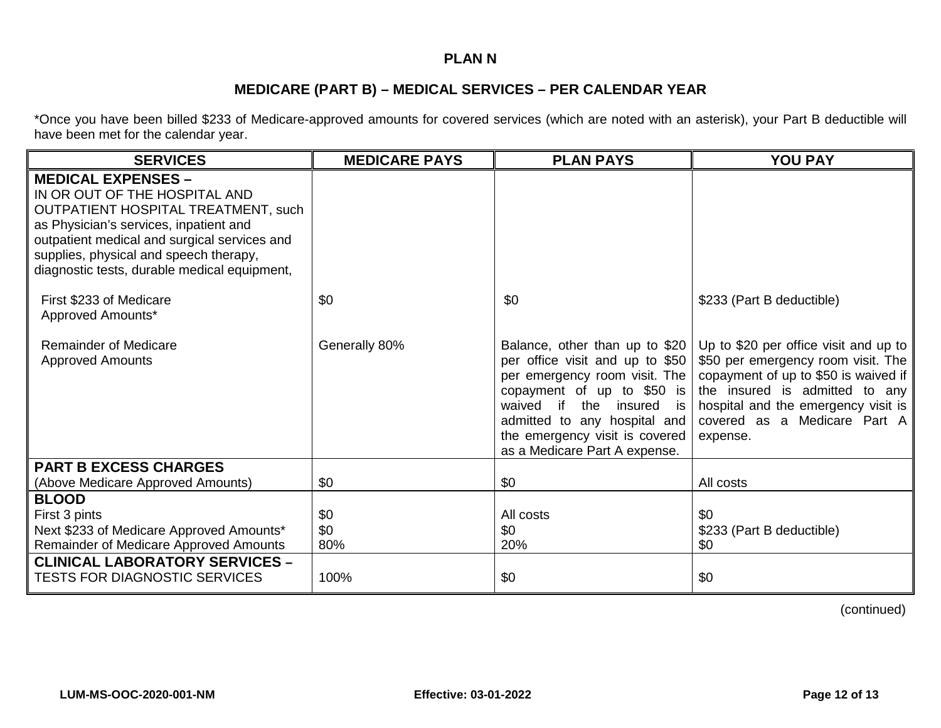## **PLAN N**

## **MEDICARE (PART B) – MEDICAL SERVICES – PER CALENDAR YEAR**

\*Once you have been billed \$233 of Medicare-approved amounts for covered services (which are noted with an asterisk), your Part B deductible will have been met for the calendar year.

| <b>SERVICES</b>                                                                                                                                                                                                                                                                              | <b>MEDICARE PAYS</b> | <b>PLAN PAYS</b>                                                                                                                                                                                                                                                   | <b>YOU PAY</b>                                                                                                                                                                                                                           |
|----------------------------------------------------------------------------------------------------------------------------------------------------------------------------------------------------------------------------------------------------------------------------------------------|----------------------|--------------------------------------------------------------------------------------------------------------------------------------------------------------------------------------------------------------------------------------------------------------------|------------------------------------------------------------------------------------------------------------------------------------------------------------------------------------------------------------------------------------------|
| <b>MEDICAL EXPENSES -</b><br>IN OR OUT OF THE HOSPITAL AND<br><b>OUTPATIENT HOSPITAL TREATMENT, such</b><br>as Physician's services, inpatient and<br>outpatient medical and surgical services and<br>supplies, physical and speech therapy,<br>diagnostic tests, durable medical equipment, |                      |                                                                                                                                                                                                                                                                    |                                                                                                                                                                                                                                          |
| First \$233 of Medicare<br>Approved Amounts*                                                                                                                                                                                                                                                 | \$0                  | \$0                                                                                                                                                                                                                                                                | \$233 (Part B deductible)                                                                                                                                                                                                                |
| <b>Remainder of Medicare</b><br><b>Approved Amounts</b>                                                                                                                                                                                                                                      | Generally 80%        | Balance, other than up to \$20<br>per office visit and up to \$50<br>per emergency room visit. The<br>copayment of up to \$50 is<br>waived if<br>the insured is<br>admitted to any hospital and<br>the emergency visit is covered<br>as a Medicare Part A expense. | Up to \$20 per office visit and up to<br>\$50 per emergency room visit. The<br>copayment of up to \$50 is waived if<br>the insured is admitted to any<br>hospital and the emergency visit is<br>covered as a Medicare Part A<br>expense. |
| <b>PART B EXCESS CHARGES</b>                                                                                                                                                                                                                                                                 |                      |                                                                                                                                                                                                                                                                    |                                                                                                                                                                                                                                          |
| (Above Medicare Approved Amounts)                                                                                                                                                                                                                                                            | \$0                  | \$0                                                                                                                                                                                                                                                                | All costs                                                                                                                                                                                                                                |
| <b>BLOOD</b><br>First 3 pints<br>Next \$233 of Medicare Approved Amounts*<br>Remainder of Medicare Approved Amounts<br><b>CLINICAL LABORATORY SERVICES -</b>                                                                                                                                 | \$0<br>\$0<br>80%    | All costs<br>\$0<br>20%                                                                                                                                                                                                                                            | \$0<br>\$233 (Part B deductible)<br>\$0                                                                                                                                                                                                  |
| <b>TESTS FOR DIAGNOSTIC SERVICES</b>                                                                                                                                                                                                                                                         | 100%                 | \$0                                                                                                                                                                                                                                                                | \$0                                                                                                                                                                                                                                      |

(continued)